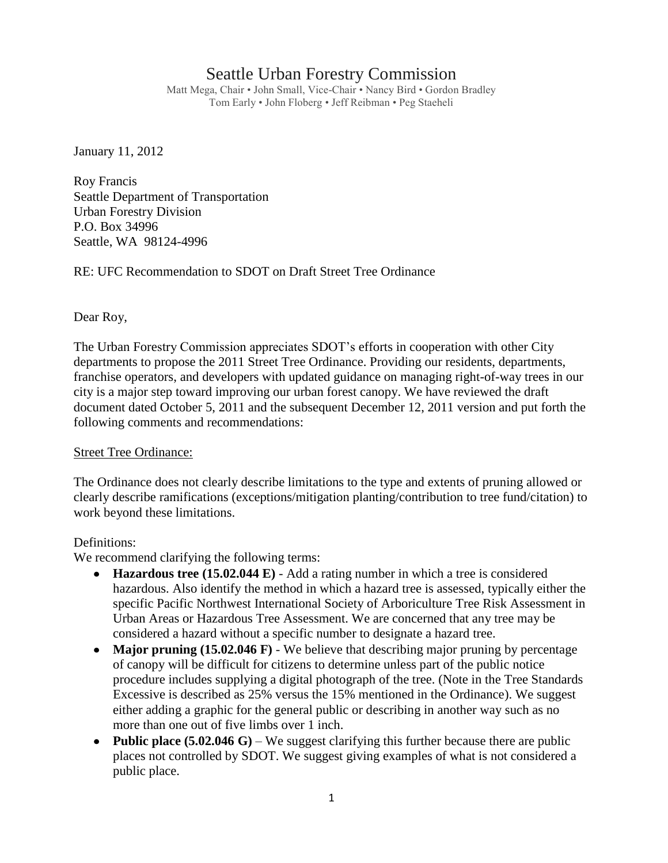# Seattle Urban Forestry Commission

Matt Mega, Chair • John Small, Vice-Chair • Nancy Bird • Gordon Bradley Tom Early • John Floberg • Jeff Reibman • Peg Staeheli

January 11, 2012

Roy Francis Seattle Department of Transportation Urban Forestry Division P.O. Box 34996 Seattle, WA 98124-4996

RE: UFC Recommendation to SDOT on Draft Street Tree Ordinance

Dear Roy,

The Urban Forestry Commission appreciates SDOT's efforts in cooperation with other City departments to propose the 2011 Street Tree Ordinance. Providing our residents, departments, franchise operators, and developers with updated guidance on managing right-of-way trees in our city is a major step toward improving our urban forest canopy. We have reviewed the draft document dated October 5, 2011 and the subsequent December 12, 2011 version and put forth the following comments and recommendations:

### Street Tree Ordinance:

The Ordinance does not clearly describe limitations to the type and extents of pruning allowed or clearly describe ramifications (exceptions/mitigation planting/contribution to tree fund/citation) to work beyond these limitations.

### Definitions:

We recommend clarifying the following terms:

- **Hazardous tree (15.02.044 E)** Add a rating number in which a tree is considered  $\bullet$ hazardous. Also identify the method in which a hazard tree is assessed, typically either the specific Pacific Northwest International Society of Arboriculture Tree Risk Assessment in Urban Areas or Hazardous Tree Assessment. We are concerned that any tree may be considered a hazard without a specific number to designate a hazard tree.
- Major pruning (15.02.046 F) We believe that describing major pruning by percentage of canopy will be difficult for citizens to determine unless part of the public notice procedure includes supplying a digital photograph of the tree. (Note in the Tree Standards Excessive is described as 25% versus the 15% mentioned in the Ordinance). We suggest either adding a graphic for the general public or describing in another way such as no more than one out of five limbs over 1 inch.
- Public place (5.02.046 G) We suggest clarifying this further because there are public places not controlled by SDOT. We suggest giving examples of what is not considered a public place.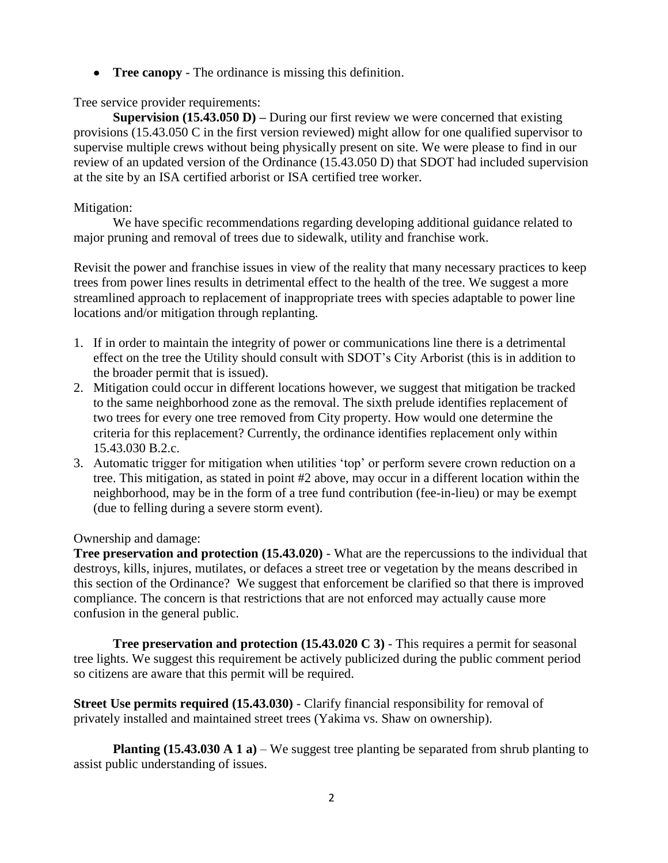$\bullet$ **Tree canopy** - The ordinance is missing this definition.

Tree service provider requirements:

**Supervision (15.43.050 D) –** During our first review we were concerned that existing provisions (15.43.050 C in the first version reviewed) might allow for one qualified supervisor to supervise multiple crews without being physically present on site. We were please to find in our review of an updated version of the Ordinance (15.43.050 D) that SDOT had included supervision at the site by an ISA certified arborist or ISA certified tree worker.

## Mitigation:

We have specific recommendations regarding developing additional guidance related to major pruning and removal of trees due to sidewalk, utility and franchise work.

Revisit the power and franchise issues in view of the reality that many necessary practices to keep trees from power lines results in detrimental effect to the health of the tree. We suggest a more streamlined approach to replacement of inappropriate trees with species adaptable to power line locations and/or mitigation through replanting.

- 1. If in order to maintain the integrity of power or communications line there is a detrimental effect on the tree the Utility should consult with SDOT's City Arborist (this is in addition to the broader permit that is issued).
- 2. Mitigation could occur in different locations however, we suggest that mitigation be tracked to the same neighborhood zone as the removal. The sixth prelude identifies replacement of two trees for every one tree removed from City property. How would one determine the criteria for this replacement? Currently, the ordinance identifies replacement only within 15.43.030 B.2.c.
- 3. Automatic trigger for mitigation when utilities 'top' or perform severe crown reduction on a tree. This mitigation, as stated in point #2 above, may occur in a different location within the neighborhood, may be in the form of a tree fund contribution (fee-in-lieu) or may be exempt (due to felling during a severe storm event).

Ownership and damage:

**Tree preservation and protection (15.43.020)** - What are the repercussions to the individual that destroys, kills, injures, mutilates, or defaces a street tree or vegetation by the means described in this section of the Ordinance? We suggest that enforcement be clarified so that there is improved compliance. The concern is that restrictions that are not enforced may actually cause more confusion in the general public.

**Tree preservation and protection (15.43.020 C 3)** - This requires a permit for seasonal tree lights. We suggest this requirement be actively publicized during the public comment period so citizens are aware that this permit will be required.

**Street Use permits required (15.43.030)** - Clarify financial responsibility for removal of privately installed and maintained street trees (Yakima vs. Shaw on ownership).

**Planting (15.43.030 A 1 a)** – We suggest tree planting be separated from shrub planting to assist public understanding of issues.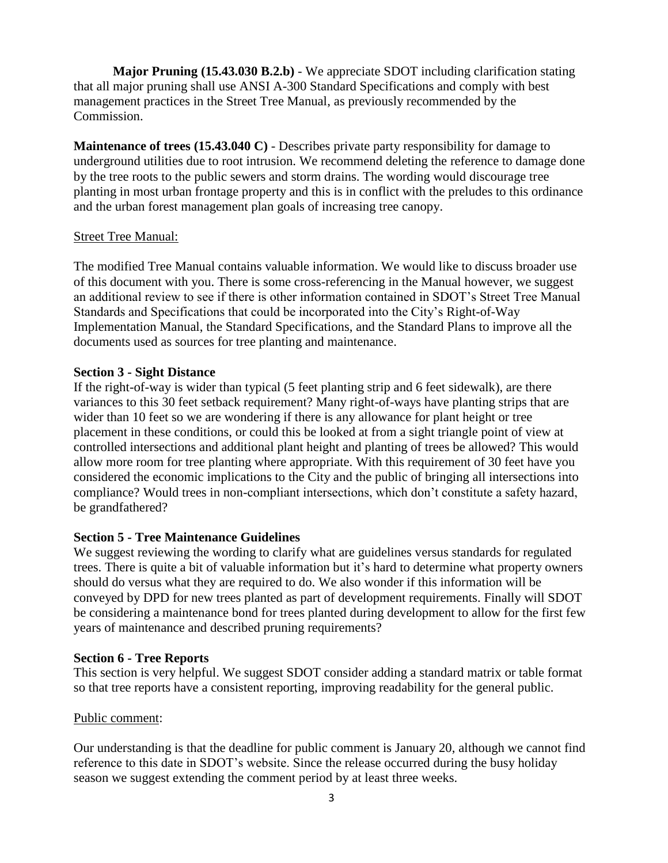**Major Pruning (15.43.030 B.2.b)** - We appreciate SDOT including clarification stating that all major pruning shall use ANSI A-300 Standard Specifications and comply with best management practices in the Street Tree Manual, as previously recommended by the Commission.

**Maintenance of trees (15.43.040 C)** - Describes private party responsibility for damage to underground utilities due to root intrusion. We recommend deleting the reference to damage done by the tree roots to the public sewers and storm drains. The wording would discourage tree planting in most urban frontage property and this is in conflict with the preludes to this ordinance and the urban forest management plan goals of increasing tree canopy.

### Street Tree Manual:

The modified Tree Manual contains valuable information. We would like to discuss broader use of this document with you. There is some cross-referencing in the Manual however, we suggest an additional review to see if there is other information contained in SDOT's Street Tree Manual Standards and Specifications that could be incorporated into the City's Right-of-Way Implementation Manual, the Standard Specifications, and the Standard Plans to improve all the documents used as sources for tree planting and maintenance.

### **Section 3 - Sight Distance**

If the right-of-way is wider than typical (5 feet planting strip and 6 feet sidewalk), are there variances to this 30 feet setback requirement? Many right-of-ways have planting strips that are wider than 10 feet so we are wondering if there is any allowance for plant height or tree placement in these conditions, or could this be looked at from a sight triangle point of view at controlled intersections and additional plant height and planting of trees be allowed? This would allow more room for tree planting where appropriate. With this requirement of 30 feet have you considered the economic implications to the City and the public of bringing all intersections into compliance? Would trees in non-compliant intersections, which don't constitute a safety hazard, be grandfathered?

### **Section 5 - Tree Maintenance Guidelines**

We suggest reviewing the wording to clarify what are guidelines versus standards for regulated trees. There is quite a bit of valuable information but it's hard to determine what property owners should do versus what they are required to do. We also wonder if this information will be conveyed by DPD for new trees planted as part of development requirements. Finally will SDOT be considering a maintenance bond for trees planted during development to allow for the first few years of maintenance and described pruning requirements?

### **Section 6 - Tree Reports**

This section is very helpful. We suggest SDOT consider adding a standard matrix or table format so that tree reports have a consistent reporting, improving readability for the general public.

### Public comment:

Our understanding is that the deadline for public comment is January 20, although we cannot find reference to this date in SDOT's website. Since the release occurred during the busy holiday season we suggest extending the comment period by at least three weeks.